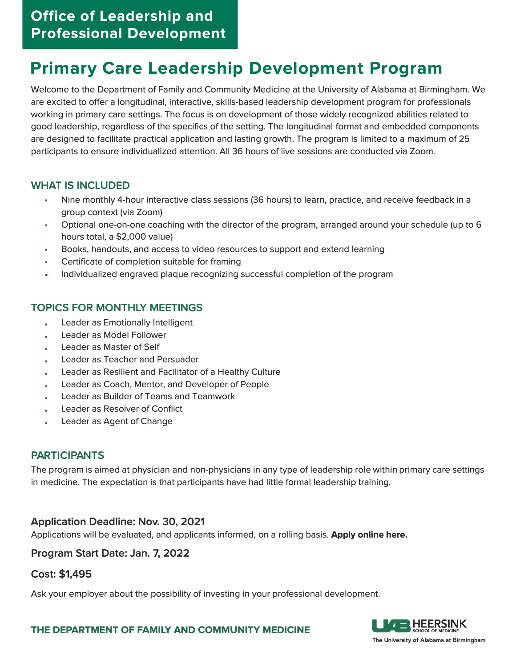## **Office of Leadership and Professional Development**

# **Primary Care Leadership Development Program**

Welcome to the Department of Family and Community Medicine at the University of Alabama at Birmingham. We are excited to offer a longitudinal, interactive, skills-based leadership development program for professionals working in primary care settings. The focus is on development of those widely recognized abilities related to good leadership, regardless of the specifics of the setting. The longitudinal format and embedded components are designed to facilitate practical application and lasting growth. The program is limited to a maximum of 25 participants to ensure individualized attention. All 36 hours of live sessions are conducted via Zoom.

#### **WHAT IS INCLUDED**

- Nine monthly 4-hour interactive class sessions (36 hours) to learn, practice, and receive feedback in a group context (via Zoom)
- Optional one-on-one coaching with the director of the program, arranged around your schedule (up to 6 hours total, a \$2,000 value)
- Books, handouts, and access to video resources to support and extend learning
- Certificate of completion suitable for framing
- Individualized engraved plaque recognizing successful completion of the program

#### **TOPICS FOR MONTHLY MEETINGS**

- Leader as Emotionally Intelligent
- Leader as Model Follower
- Leader as Master of Self
- Leader as Teacher and Persuader
- Leader as Resilient and Facilitator of a Healthy Culture
- Leader as Coach, Mentor, and Developer of People
- Leader as Builder of Teams and Teamwork
- Leader as Resolver of Conflict
- Leader as Agent of Change

#### **PARTICIPANTS**

The program is aimed at physician and non-physicians in any type of leadership role within primary care settings in medicine. The expectation is that participants have had little formal leadership training.

#### **Application Deadline: Nov. 30, 2021**

Applications will be evaluated, and applicants informed, on a rolling basis. **Apply online here.** 

#### **Program Start Date: Jan. 7, 2022**

#### **Cost: \$1,495**

Ask your employer about the possibility of investing in your professional development.



THE DEPARTMENT OF FAMILY AND COMMUNITY MEDICINE **LEGISTIC BELOC** OF MEDICINE